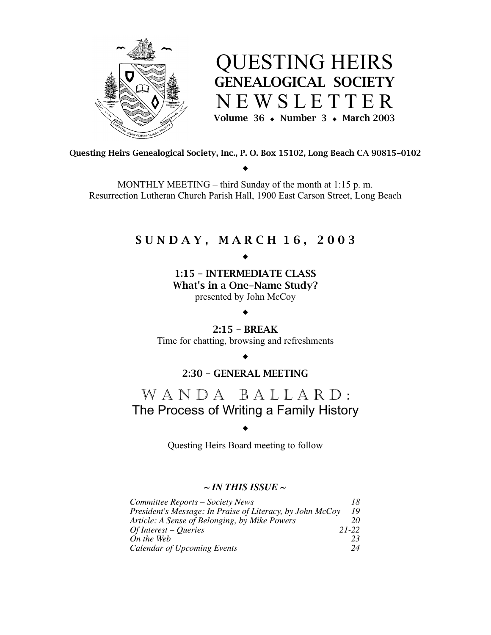

QUESTING HEIRS GENEALOGICAL SOCIETY N E W S L E T T E R Volume 36  $\bullet$  Number 3  $\bullet$  March 2003

Questing Heirs Genealogical Society, Inc., P. O. Box 15102, Long Beach CA 90815-0102  $\bullet$ 

MONTHLY MEETING – third Sunday of the month at 1:15 p. m. Resurrection Lutheran Church Parish Hall, 1900 East Carson Street, Long Beach

## S U N D A Y , M A R C H 1 6 , 2 0 0 3

## $\blacklozenge$

1:15 – INTERMEDIATE CLASS What's in a One-Name Study? presented by John McCoy

## $\blacklozenge$

2:15 – BREAK Time for chatting, browsing and refreshments

#### $\blacklozenge$

## 2:30 – GENERAL MEETING

## WANDA BALLARD: The Process of Writing a Family History

## $\blacklozenge$

Questing Heirs Board meeting to follow

## *~ IN THIS ISSUE ~*

| Committee Reports - Society News                          | 18    |
|-----------------------------------------------------------|-------|
| President's Message: In Praise of Literacy, by John McCoy | 19    |
| Article: A Sense of Belonging, by Mike Powers             | 20    |
| $Of Interest - O,$                                        | 21-22 |
| On the Web                                                | 23    |
| Calendar of Upcoming Events                               | 24    |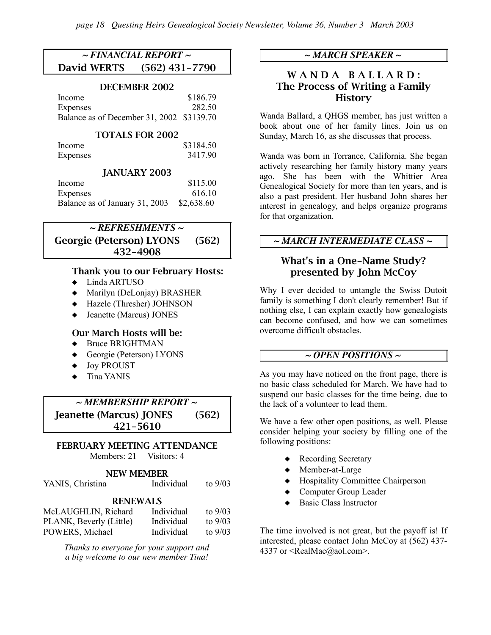## *~ FINANCIAL REPORT ~* David WERTS (562) 431-7790

#### DECEMBER 2002

| Income                                    | \$186.79 |
|-------------------------------------------|----------|
| <b>Expenses</b>                           | 282.50   |
| Balance as of December 31, 2002 \$3139.70 |          |

#### TOTALS FOR 2002

| Income   | \$3184.50 |
|----------|-----------|
| Expenses | 3417.90   |

## JANUARY 2003

| Income                         | \$115.00   |
|--------------------------------|------------|
| <b>Expenses</b>                | 616.10     |
| Balance as of January 31, 2003 | \$2,638.60 |

## *~ REFRESHMENTS ~* Georgie (Peterson) LYONS (562) 432-4908

#### Thank you to our February Hosts:

- $\triangleleft$  Linda ARTUSO
- ! Marilyn (DeLonjay) BRASHER
- $\triangleleft$  Hazele (Thresher) JOHNSON
- $\triangleleft$  Jeanette (Marcus) JONES

#### Our March Hosts will be:

- ◆ Bruce BRIGHTMAN
- $\triangleleft$  Georgie (Peterson) LYONS
- ◆ Joy PROUST
- $\triangleleft$  Tina YANIS

*~ MEMBERSHIP REPORT ~* Jeanette (Marcus) JONES (562) 421-5610

#### FEBRUARY MEETING ATTENDANCE Members: 21 Visitors: 4

#### NEW MEMBER

YANIS, Christina Individual to 9/03

#### RENEWALS

| McLAUGHLIN, Richard     | Individual | to $9/03$ |
|-------------------------|------------|-----------|
| PLANK, Beverly (Little) | Individual | to $9/03$ |
| POWERS, Michael         | Individual | to $9/03$ |

*Thanks to everyone for your support and a big welcome to our new member Tina!*

## *~ MARCH SPEAKER ~*

## WANDA BALLARD: The Process of Writing a Family **History**

Wanda Ballard, a QHGS member, has just written a book about one of her family lines. Join us on Sunday, March 16, as she discusses that process.

Wanda was born in Torrance, California. She began actively researching her family history many years ago. She has been with the Whittier Area Genealogical Society for more than ten years, and is also a past president. Her husband John shares her interest in genealogy, and helps organize programs for that organization.

## *~ MARCH INTERMEDIATE CLASS ~*

## What's in a One-Name Study? presented by John McCoy

Why I ever decided to untangle the Swiss Dutoit family is something I don't clearly remember! But if nothing else, I can explain exactly how genealogists can become confused, and how we can sometimes overcome difficult obstacles.

## *~ OPEN POSITIONS ~*

As you may have noticed on the front page, there is no basic class scheduled for March. We have had to suspend our basic classes for the time being, due to the lack of a volunteer to lead them.

We have a few other open positions, as well. Please consider helping your society by filling one of the following positions:

- Recording Secretary
- ◆ Member-at-Large
- $\triangleleft$  Hospitality Committee Chairperson
- ! Computer Group Leader
- **Basic Class Instructor**

The time involved is not great, but the payoff is! If interested, please contact John McCoy at (562) 437- 4337 or <RealMac@aol.com>.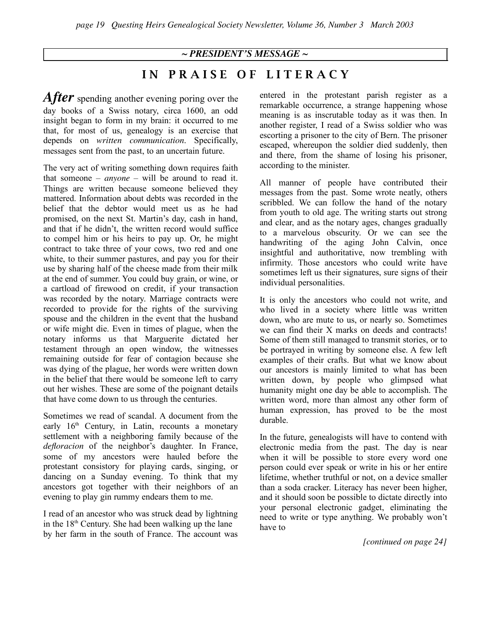## *~ PRESIDENT'S MESSAGE ~*

IN PRAISE OF LITERACY

*After* spending another evening poring over the day books of a Swiss notary, circa 1600, an odd insight began to form in my brain: it occurred to me that, for most of us, genealogy is an exercise that depends on *written communication*. Specifically, messages sent from the past, to an uncertain future.

The very act of writing something down requires faith that someone – *anyone* – will be around to read it. Things are written because someone believed they mattered. Information about debts was recorded in the belief that the debtor would meet us as he had promised, on the next St. Martin's day, cash in hand, and that if he didn't, the written record would suffice to compel him or his heirs to pay up. Or, he might contract to take three of your cows, two red and one white, to their summer pastures, and pay you for their use by sharing half of the cheese made from their milk at the end of summer. You could buy grain, or wine, or a cartload of firewood on credit, if your transaction was recorded by the notary. Marriage contracts were recorded to provide for the rights of the surviving spouse and the children in the event that the husband or wife might die. Even in times of plague, when the notary informs us that Marguerite dictated her testament through an open window, the witnesses remaining outside for fear of contagion because she was dying of the plague, her words were written down in the belief that there would be someone left to carry out her wishes. These are some of the poignant details that have come down to us through the centuries.

Sometimes we read of scandal. A document from the early  $16<sup>th</sup>$  Century, in Latin, recounts a monetary settlement with a neighboring family because of the *defloracion* of the neighbor's daughter. In France, some of my ancestors were hauled before the protestant consistory for playing cards, singing, or dancing on a Sunday evening. To think that my ancestors got together with their neighbors of an evening to play gin rummy endears them to me.

I read of an ancestor who was struck dead by lightning in the  $18<sup>th</sup>$  Century. She had been walking up the lane by her farm in the south of France. The account was

entered in the protestant parish register as a remarkable occurrence, a strange happening whose meaning is as inscrutable today as it was then. In another register, I read of a Swiss soldier who was escorting a prisoner to the city of Bern. The prisoner escaped, whereupon the soldier died suddenly, then and there, from the shame of losing his prisoner, according to the minister.

All manner of people have contributed their messages from the past. Some wrote neatly, others scribbled. We can follow the hand of the notary from youth to old age. The writing starts out strong and clear, and as the notary ages, changes gradually to a marvelous obscurity. Or we can see the handwriting of the aging John Calvin, once insightful and authoritative, now trembling with infirmity. Those ancestors who could write have sometimes left us their signatures, sure signs of their individual personalities.

It is only the ancestors who could not write, and who lived in a society where little was written down, who are mute to us, or nearly so. Sometimes we can find their X marks on deeds and contracts! Some of them still managed to transmit stories, or to be portrayed in writing by someone else. A few left examples of their crafts. But what we know about our ancestors is mainly limited to what has been written down, by people who glimpsed what humanity might one day be able to accomplish. The written word, more than almost any other form of human expression, has proved to be the most durable.

In the future, genealogists will have to contend with electronic media from the past. The day is near when it will be possible to store every word one person could ever speak or write in his or her entire lifetime, whether truthful or not, on a device smaller than a soda cracker. Literacy has never been higher, and it should soon be possible to dictate directly into your personal electronic gadget, eliminating the need to write or type anything. We probably won't have to

*[continued on page 24]*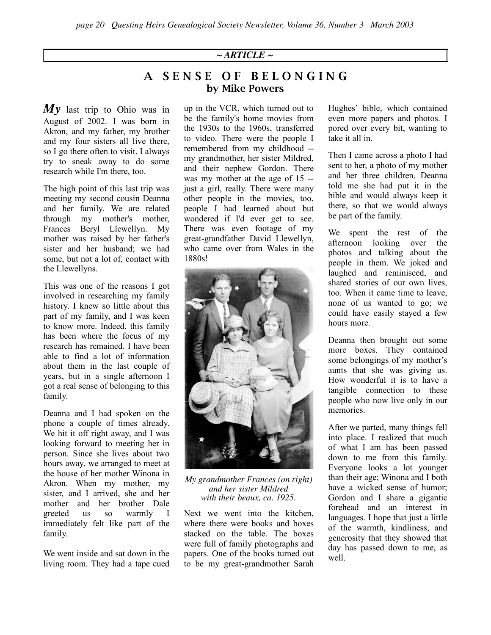## $\sim$  *ARTICLE*  $\sim$

## A SENSE OF BELONGING by Mike Powers

*My* last trip to Ohio was in August of 2002. I was born in Akron, and my father, my brother and my four sisters all live there, so I go there often to visit. I always try to sneak away to do some research while I'm there, too.

The high point of this last trip was meeting my second cousin Deanna and her family. We are related through my mother's mother, Frances Beryl Llewellyn. My mother was raised by her father's sister and her husband; we had some, but not a lot of, contact with the Llewellyns.

This was one of the reasons I got involved in researching my family history. I knew so little about this part of my family, and I was keen to know more. Indeed, this family has been where the focus of my research has remained. I have been able to find a lot of information about them in the last couple of years, but in a single afternoon I got a real sense of belonging to this family.

Deanna and I had spoken on the phone a couple of times already. We hit it off right away, and I was looking forward to meeting her in person. Since she lives about two hours away, we arranged to meet at the house of her mother Winona in Akron. When my mother, my sister, and I arrived, she and her mother and her brother Dale greeted us so warmly I immediately felt like part of the family.

We went inside and sat down in the living room. They had a tape cued up in the VCR, which turned out to be the family's home movies from the 1930s to the 1960s, transferred to video. There were the people I remembered from my childhood - my grandmother, her sister Mildred, and their nephew Gordon. There was my mother at the age of 15 - just a girl, really. There were many other people in the movies, too, people I had learned about but wondered if I'd ever get to see. There was even footage of my great-grandfather David Llewellyn, who came over from Wales in the 1880s!



*My grandmother Frances (on right) and her sister Mildred with their beaux, ca. 1925.*

Next we went into the kitchen, where there were books and boxes stacked on the table. The boxes were full of family photographs and papers. One of the books turned out to be my great-grandmother Sarah

Hughes' bible, which contained even more papers and photos. I pored over every bit, wanting to take it all in.

Then I came across a photo I had sent to her, a photo of my mother and her three children. Deanna told me she had put it in the bible and would always keep it there, so that we would always be part of the family.

We spent the rest of the afternoon looking over the photos and talking about the people in them. We joked and laughed and reminisced, and shared stories of our own lives, too. When it came time to leave, none of us wanted to go; we could have easily stayed a few hours more.

Deanna then brought out some more boxes. They contained some belongings of my mother's aunts that she was giving us. How wonderful it is to have a tangible connection to these people who now live only in our memories.

After we parted, many things fell into place. I realized that much of what I am has been passed down to me from this family. Everyone looks a lot younger than their age; Winona and I both have a wicked sense of humor; Gordon and I share a gigantic forehead and an interest in languages. I hope that just a little of the warmth, kindliness, and generosity that they showed that day has passed down to me, as well.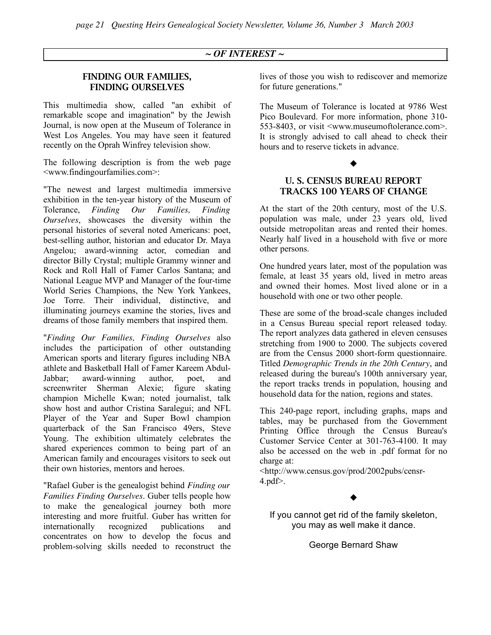#### *~ OF INTEREST ~*

#### FINDING OUR FAMILIES, FINDING OURSELVES

This multimedia show, called "an exhibit of remarkable scope and imagination" by the Jewish Journal, is now open at the Museum of Tolerance in West Los Angeles. You may have seen it featured recently on the Oprah Winfrey television show.

The following description is from the web page <www.findingourfamilies.com>:

"The newest and largest multimedia immersive exhibition in the ten-year history of the Museum of Tolerance, *Finding Our Families, Finding Ourselves*, showcases the diversity within the personal histories of several noted Americans: poet, best-selling author, historian and educator Dr. Maya Angelou; award-winning actor, comedian and director Billy Crystal; multiple Grammy winner and Rock and Roll Hall of Famer Carlos Santana; and National League MVP and Manager of the four-time World Series Champions, the New York Yankees, Joe Torre. Their individual, distinctive, and illuminating journeys examine the stories, lives and dreams of those family members that inspired them.

"*Finding Our Families, Finding Ourselves* also includes the participation of other outstanding American sports and literary figures including NBA athlete and Basketball Hall of Famer Kareem Abdul-Jabbar; award-winning author, poet, and screenwriter Sherman Alexie; figure skating champion Michelle Kwan; noted journalist, talk show host and author Cristina Saralegui; and NFL Player of the Year and Super Bowl champion quarterback of the San Francisco 49ers, Steve Young. The exhibition ultimately celebrates the shared experiences common to being part of an American family and encourages visitors to seek out their own histories, mentors and heroes.

"Rafael Guber is the genealogist behind *Finding our Families Finding Ourselves*. Guber tells people how to make the genealogical journey both more interesting and more fruitful. Guber has written for internationally recognized publications and concentrates on how to develop the focus and problem-solving skills needed to reconstruct the

lives of those you wish to rediscover and memorize for future generations."

The Museum of Tolerance is located at 9786 West Pico Boulevard. For more information, phone 310- 553-8403, or visit <www.museumoftolerance.com>. It is strongly advised to call ahead to check their hours and to reserve tickets in advance.

## $\blacklozenge$

## U. S. CENSUS BUREAU REPORT TRACKS 100 YEARS OF CHANGE

At the start of the 20th century, most of the U.S. population was male, under 23 years old, lived outside metropolitan areas and rented their homes. Nearly half lived in a household with five or more other persons.

One hundred years later, most of the population was female, at least 35 years old, lived in metro areas and owned their homes. Most lived alone or in a household with one or two other people.

These are some of the broad-scale changes included in a Census Bureau special report released today. The report analyzes data gathered in eleven censuses stretching from 1900 to 2000. The subjects covered are from the Census 2000 short-form questionnaire. Titled *Demographic Trends in the 20th Century*, and released during the bureau's 100th anniversary year, the report tracks trends in population, housing and household data for the nation, regions and states.

This 240-page report, including graphs, maps and tables, may be purchased from the Government Printing Office through the Census Bureau's Customer Service Center at 301-763-4100. It may also be accessed on the web in .pdf format for no charge at:

<http://www.census.gov/prod/2002pubs/censr-4.pdf>.

## $\blacklozenge$

If you cannot get rid of the family skeleton, you may as well make it dance.

George Bernard Shaw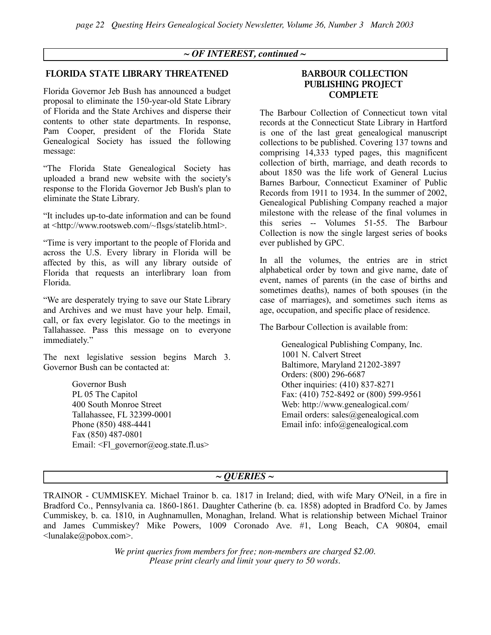#### *~ OF INTEREST, continued ~*

#### FLORIDA STATE LIBRARY THREATENED

Florida Governor Jeb Bush has announced a budget proposal to eliminate the 150-year-old State Library of Florida and the State Archives and disperse their contents to other state departments. In response, Pam Cooper, president of the Florida State Genealogical Society has issued the following message:

"The Florida State Genealogical Society has uploaded a brand new website with the society's response to the Florida Governor Jeb Bush's plan to eliminate the State Library.

"It includes up-to-date information and can be found at <http://www.rootsweb.com/~flsgs/statelib.html>.

"Time is very important to the people of Florida and across the U.S. Every library in Florida will be affected by this, as will any library outside of Florida that requests an interlibrary loan from Florida.

"We are desperately trying to save our State Library and Archives and we must have your help. Email, call, or fax every legislator. Go to the meetings in Tallahassee. Pass this message on to everyone immediately."

The next legislative session begins March 3. Governor Bush can be contacted at:

> Governor Bush PL 05 The Capitol 400 South Monroe Street Tallahassee, FL 32399-0001 Phone (850) 488-4441 Fax (850) 487-0801 Email:  $\leq$ Fl governor@eog.state.fl.us>

#### BARBOUR COLLECTION PUBLISHING PROJECT **COMPLETE**

The Barbour Collection of Connecticut town vital records at the Connecticut State Library in Hartford is one of the last great genealogical manuscript collections to be published. Covering 137 towns and comprising 14,333 typed pages, this magnificent collection of birth, marriage, and death records to about 1850 was the life work of General Lucius Barnes Barbour, Connecticut Examiner of Public Records from 1911 to 1934. In the summer of 2002, Genealogical Publishing Company reached a major milestone with the release of the final volumes in this series -- Volumes 51-55. The Barbour Collection is now the single largest series of books ever published by GPC.

In all the volumes, the entries are in strict alphabetical order by town and give name, date of event, names of parents (in the case of births and sometimes deaths), names of both spouses (in the case of marriages), and sometimes such items as age, occupation, and specific place of residence.

The Barbour Collection is available from:

Genealogical Publishing Company, Inc. 1001 N. Calvert Street Baltimore, Maryland 21202-3897 Orders: (800) 296-6687 Other inquiries: (410) 837-8271 Fax: (410) 752-8492 or (800) 599-9561 Web: http://www.genealogical.com/ Email orders: sales@genealogical.com Email info: info@genealogical.com

#### *~ QUERIES ~*

TRAINOR - CUMMISKEY. Michael Trainor b. ca. 1817 in Ireland; died, with wife Mary O'Neil, in a fire in Bradford Co., Pennsylvania ca. 1860-1861. Daughter Catherine (b. ca. 1858) adopted in Bradford Co. by James Cummiskey, b. ca. 1810, in Aughnamullen, Monaghan, Ireland. What is relationship between Michael Trainor and James Cummiskey? Mike Powers, 1009 Coronado Ave. #1, Long Beach, CA 90804, email <lunalake@pobox.com>.

> *We print queries from members for free; non-members are charged \$2.00. Please print clearly and limit your query to 50 words.*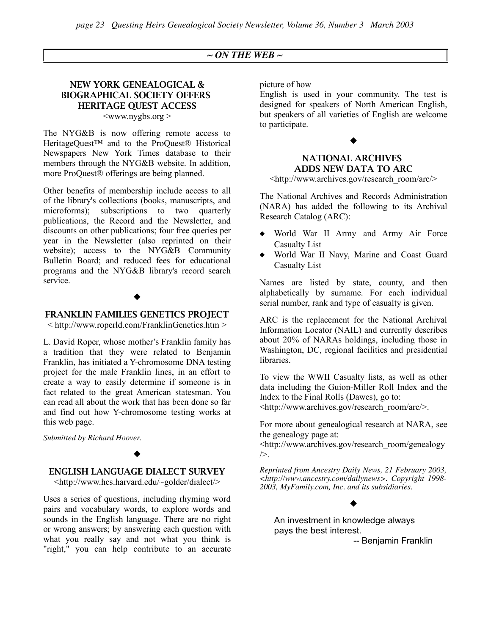#### *~ ON THE WEB ~*

#### NEW YORK GENEALOGICAL & BIOGRAPHICAL SOCIETY OFFERS HERITAGE QUEST ACCESS  $\langle$ www.nygbs.org  $>$

The NYG&B is now offering remote access to HeritageQuest™ and to the ProQuest® Historical Newspapers New York Times database to their members through the NYG&B website. In addition, more ProQuest® offerings are being planned.

Other benefits of membership include access to all of the library's collections (books, manuscripts, and microforms); subscriptions to two quarterly publications, the Record and the Newsletter, and discounts on other publications; four free queries per year in the Newsletter (also reprinted on their website); access to the NYG&B Community Bulletin Board; and reduced fees for educational programs and the NYG&B library's record search service.

#### $\blacklozenge$

#### FRANKLIN FAMILIES GENETICS PROJECT

< http://www.roperld.com/FranklinGenetics.htm >

L. David Roper, whose mother's Franklin family has a tradition that they were related to Benjamin Franklin, has initiated a Y-chromosome DNA testing project for the male Franklin lines, in an effort to create a way to easily determine if someone is in fact related to the great American statesman. You can read all about the work that has been done so far and find out how Y-chromosome testing works at this web page.

*Submitted by Richard Hoover.*

#### $\blacklozenge$

## ENGLISH LANGUAGE DIALECT SURVEY

<http://www.hcs.harvard.edu/~golder/dialect/>

Uses a series of questions, including rhyming word pairs and vocabulary words, to explore words and sounds in the English language. There are no right or wrong answers; by answering each question with what you really say and not what you think is "right," you can help contribute to an accurate picture of how

English is used in your community. The test is designed for speakers of North American English, but speakers of all varieties of English are welcome to participate.

# $\blacklozenge$

## NATIONAL ARCHIVES ADDS NEW DATA TO ARC

<http://www.archives.gov/research\_room/arc/>

The National Archives and Records Administration (NARA) has added the following to its Archival Research Catalog (ARC):

- ! World War II Army and Army Air Force Casualty List
- ! World War II Navy, Marine and Coast Guard Casualty List

Names are listed by state, county, and then alphabetically by surname. For each individual serial number, rank and type of casualty is given.

ARC is the replacement for the National Archival Information Locator (NAIL) and currently describes about 20% of NARAs holdings, including those in Washington, DC, regional facilities and presidential libraries.

To view the WWII Casualty lists, as well as other data including the Guion-Miller Roll Index and the Index to the Final Rolls (Dawes), go to: <http://www.archives.gov/research\_room/arc/>.

For more about genealogical research at NARA, see the genealogy page at:

<http://www.archives.gov/research\_room/genealogy />.

*Reprinted from Ancestry Daily News, 21 February 2003, <http://www.ancestry.com/dailynews>. Copyright 1998- 2003, MyFamily.com, Inc. and its subsidiaries.*

 $\blacklozenge$ 

## An investment in knowledge always pays the best interest.

-- Benjamin Franklin